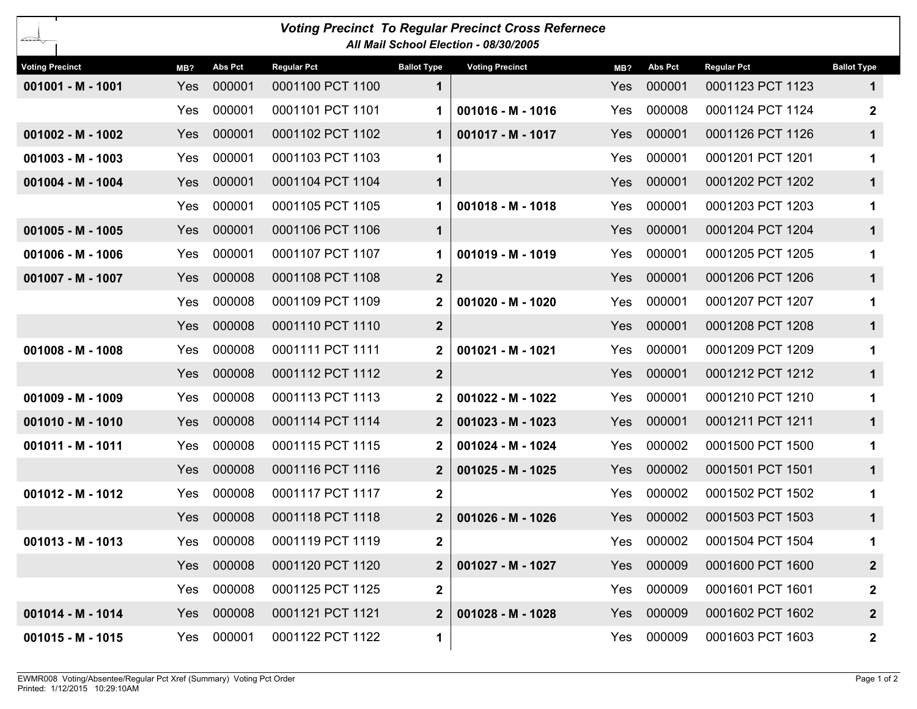| <b>Voting Precinct To Regular Precinct Cross Refernece</b><br>∠≍≥<br>All Mail School Election - 08/30/2005 |            |                |                    |                    |                        |            |                |                    |                    |  |  |
|------------------------------------------------------------------------------------------------------------|------------|----------------|--------------------|--------------------|------------------------|------------|----------------|--------------------|--------------------|--|--|
| <b>Voting Precinct</b>                                                                                     | MB?        | <b>Abs Pct</b> | <b>Regular Pct</b> | <b>Ballot Type</b> | <b>Voting Precinct</b> | MB?        | <b>Abs Pct</b> | <b>Regular Pct</b> | <b>Ballot Type</b> |  |  |
| 001001 - M - 1001                                                                                          | <b>Yes</b> | 000001         | 0001100 PCT 1100   | 1                  |                        | Yes        | 000001         | 0001123 PCT 1123   | 1                  |  |  |
|                                                                                                            | Yes        | 000001         | 0001101 PCT 1101   | 1.                 | $001016 - M - 1016$    | Yes        | 000008         | 0001124 PCT 1124   | $\mathbf{2}$       |  |  |
| $001002 - M - 1002$                                                                                        | Yes        | 000001         | 0001102 PCT 1102   | 1.                 | 001017 - M - 1017      | Yes        | 000001         | 0001126 PCT 1126   | $\mathbf 1$        |  |  |
| $001003 - M - 1003$                                                                                        | Yes        | 000001         | 0001103 PCT 1103   | 1                  |                        | Yes        | 000001         | 0001201 PCT 1201   | 1                  |  |  |
| 001004 - M - 1004                                                                                          | Yes        | 000001         | 0001104 PCT 1104   | $\mathbf 1$        |                        | Yes        | 000001         | 0001202 PCT 1202   | $\mathbf 1$        |  |  |
|                                                                                                            | Yes        | 000001         | 0001105 PCT 1105   |                    | $001018 - M - 1018$    | Yes        | 000001         | 0001203 PCT 1203   | 1                  |  |  |
| $001005 - M - 1005$                                                                                        | Yes        | 000001         | 0001106 PCT 1106   | $\mathbf 1$        |                        | Yes        | 000001         | 0001204 PCT 1204   | $\mathbf 1$        |  |  |
| 001006 - M - 1006                                                                                          | Yes        | 000001         | 0001107 PCT 1107   |                    | $001019 - M - 1019$    | Yes        | 000001         | 0001205 PCT 1205   | 1                  |  |  |
| 001007 - M - 1007                                                                                          | Yes        | 000008         | 0001108 PCT 1108   | $\overline{2}$     |                        | Yes        | 000001         | 0001206 PCT 1206   | $\mathbf 1$        |  |  |
|                                                                                                            | <b>Yes</b> | 000008         | 0001109 PCT 1109   | $\mathbf{2}$       | 001020 - M - 1020      | Yes        | 000001         | 0001207 PCT 1207   | 1                  |  |  |
|                                                                                                            | Yes        | 000008         | 0001110 PCT 1110   | $\overline{2}$     |                        | Yes        | 000001         | 0001208 PCT 1208   | $\mathbf 1$        |  |  |
| $001008 - M - 1008$                                                                                        | <b>Yes</b> | 000008         | 0001111 PCT 1111   | $\mathbf{2}$       | 001021 - M - 1021      | Yes        | 000001         | 0001209 PCT 1209   | 1                  |  |  |
|                                                                                                            | Yes        | 000008         | 0001112 PCT 1112   | $\overline{2}$     |                        | Yes        | 000001         | 0001212 PCT 1212   | $\mathbf 1$        |  |  |
| $001009 - M - 1009$                                                                                        | Yes        | 000008         | 0001113 PCT 1113   | $\mathbf{2}$       | 001022 - M - 1022      | Yes        | 000001         | 0001210 PCT 1210   | 1                  |  |  |
| 001010 - M - 1010                                                                                          | Yes        | 000008         | 0001114 PCT 1114   | 2 <sup>1</sup>     | $001023 - M - 1023$    | Yes        | 000001         | 0001211 PCT 1211   | 1                  |  |  |
| $001011 - M - 1011$                                                                                        | Yes        | 000008         | 0001115 PCT 1115   | $\mathbf{2}$       | 001024 - M - 1024      | Yes        | 000002         | 0001500 PCT 1500   | 1                  |  |  |
|                                                                                                            | Yes        | 000008         | 0001116 PCT 1116   | $\mathbf{2}$       | $001025 - M - 1025$    | <b>Yes</b> | 000002         | 0001501 PCT 1501   | 1                  |  |  |
| $001012 - M - 1012$                                                                                        | Yes        | 000008         | 0001117 PCT 1117   | $\mathbf{2}$       |                        | Yes        | 000002         | 0001502 PCT 1502   | 1                  |  |  |
|                                                                                                            | Yes        | 000008         | 0001118 PCT 1118   | $\mathbf{2}$       | 001026 - M - 1026      | Yes        | 000002         | 0001503 PCT 1503   | 1                  |  |  |
| $001013 - M - 1013$                                                                                        | Yes        | 000008         | 0001119 PCT 1119   | $\mathbf 2$        |                        |            | Yes 000002     | 0001504 PCT 1504   | 1                  |  |  |
|                                                                                                            | <b>Yes</b> | 000008         | 0001120 PCT 1120   | 2 <sup>1</sup>     | $001027 - M - 1027$    |            | Yes 000009     | 0001600 PCT 1600   | $\mathbf{2}$       |  |  |
|                                                                                                            | Yes        | 000008         | 0001125 PCT 1125   | $\boldsymbol{2}$   |                        | Yes        | 000009         | 0001601 PCT 1601   | $\mathbf{2}$       |  |  |
| $001014 - M - 1014$                                                                                        | Yes        | 000008         | 0001121 PCT 1121   | 2 <sup>2</sup>     | $001028 - M - 1028$    |            | Yes 000009     | 0001602 PCT 1602   | $\mathbf{2}$       |  |  |
| $001015 - M - 1015$                                                                                        | Yes        | 000001         | 0001122 PCT 1122   | $\mathbf 1$        |                        |            | Yes 000009     | 0001603 PCT 1603   | $\mathbf{2}$       |  |  |